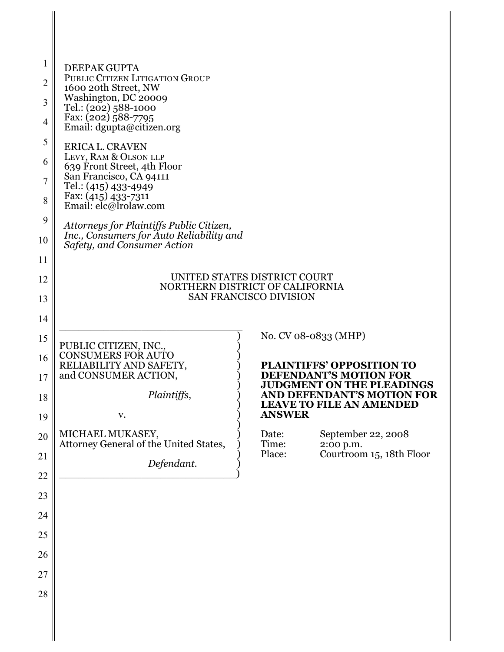| 1<br>$\overline{2}$<br>3<br>$\overline{4}$<br>5<br>6<br>7<br>8<br>9<br>10<br>11 | DEEPAK GUPTA<br>PUBLIC CITIZEN LITIGATION GROUP<br>1600 20th Street, NW<br>Washington, DC 20009<br>Tel.: (202) 588-1000<br>Fax: (202) 588-7795<br>Email: dgupta@citizen.org<br><b>ERICA L. CRAVEN</b><br>LEVY, RAM & OLSON LLP<br>639 Front Street, 4th Floor<br>San Francisco, CA 94111<br>Tel.: (415) 433-4949<br>Fax: (415) 433-7311<br>Email: elc@lrolaw.com<br>Attorneys for Plaintiffs Public Citizen,<br>Inc., Consumers for Auto Reliability and<br>Safety, and Consumer Action |                                                                                                                                                                                                                 |  |  |
|---------------------------------------------------------------------------------|-----------------------------------------------------------------------------------------------------------------------------------------------------------------------------------------------------------------------------------------------------------------------------------------------------------------------------------------------------------------------------------------------------------------------------------------------------------------------------------------|-----------------------------------------------------------------------------------------------------------------------------------------------------------------------------------------------------------------|--|--|
| 12<br>13<br>14                                                                  | UNITED STATES DISTRICT COURT<br>NORTHERN DISTRICT OF CALIFORNIA<br><b>SAN FRANCISCO DIVISION</b>                                                                                                                                                                                                                                                                                                                                                                                        |                                                                                                                                                                                                                 |  |  |
| 15<br>16<br>17<br>18<br>19                                                      | PUBLIC CITIZEN, INC.,<br><b>CONSUMERS FOR AUTO</b><br>RELIABILITY AND SAFETY,<br>and CONSUMER ACTION,<br>Plaintiffs,<br>V.                                                                                                                                                                                                                                                                                                                                                              | No. CV 08-0833 (MHP)<br><b>PLAINTIFFS' OPPOSITION TO</b><br><b>DEFENDANT'S MOTION FOR</b><br><b>JUDGMENT ON THE PLEADINGS</b><br>AND DEFENDANT'S MOTION FOR<br><b>LEAVE TO FILE AN AMENDED</b><br><b>ANSWER</b> |  |  |
| 20<br>21<br>22                                                                  | MICHAEL MUKASEY,<br>Attorney General of the United States,<br>Defendant.                                                                                                                                                                                                                                                                                                                                                                                                                | September 22, 2008<br>Date:<br>Time:<br>$2:00$ p.m.<br>Courtroom 15, 18th Floor<br>Place:                                                                                                                       |  |  |
| 23<br>24                                                                        |                                                                                                                                                                                                                                                                                                                                                                                                                                                                                         |                                                                                                                                                                                                                 |  |  |
| 25                                                                              |                                                                                                                                                                                                                                                                                                                                                                                                                                                                                         |                                                                                                                                                                                                                 |  |  |
| 26<br>27                                                                        |                                                                                                                                                                                                                                                                                                                                                                                                                                                                                         |                                                                                                                                                                                                                 |  |  |
| 28                                                                              |                                                                                                                                                                                                                                                                                                                                                                                                                                                                                         |                                                                                                                                                                                                                 |  |  |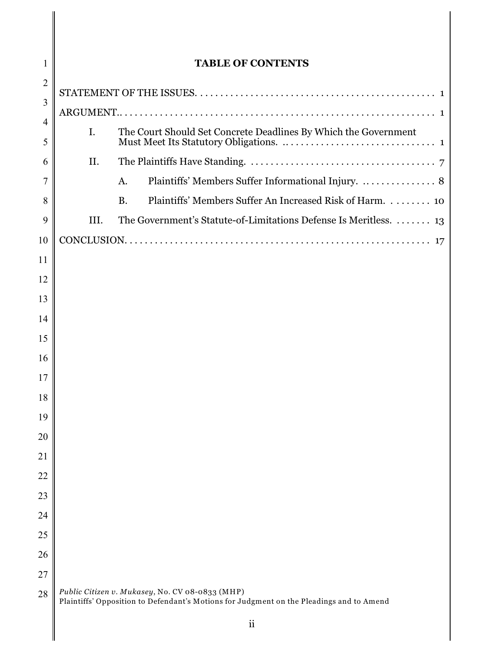| 1              | <b>TABLE OF CONTENTS</b>                                                                                                                    |                                                                       |  |
|----------------|---------------------------------------------------------------------------------------------------------------------------------------------|-----------------------------------------------------------------------|--|
| $\overline{2}$ |                                                                                                                                             |                                                                       |  |
| 3              |                                                                                                                                             |                                                                       |  |
| 4<br>5         | The Court Should Set Concrete Deadlines By Which the Government<br>I.                                                                       |                                                                       |  |
| 6              | II.                                                                                                                                         |                                                                       |  |
| 7              |                                                                                                                                             | Plaintiffs' Members Suffer Informational Injury.  8<br>A.             |  |
| 8              |                                                                                                                                             | Plaintiffs' Members Suffer An Increased Risk of Harm. 10<br><b>B.</b> |  |
| 9              | III.                                                                                                                                        | The Government's Statute-of-Limitations Defense Is Meritless.  13     |  |
| 10             | 17                                                                                                                                          |                                                                       |  |
| 11             |                                                                                                                                             |                                                                       |  |
| 12             |                                                                                                                                             |                                                                       |  |
| 13             |                                                                                                                                             |                                                                       |  |
| 14             |                                                                                                                                             |                                                                       |  |
| 15             |                                                                                                                                             |                                                                       |  |
| 16             |                                                                                                                                             |                                                                       |  |
| 17             |                                                                                                                                             |                                                                       |  |
| 18             |                                                                                                                                             |                                                                       |  |
| 19             |                                                                                                                                             |                                                                       |  |
| 20             |                                                                                                                                             |                                                                       |  |
| 21             |                                                                                                                                             |                                                                       |  |
| 22             |                                                                                                                                             |                                                                       |  |
| 23             |                                                                                                                                             |                                                                       |  |
| 24             |                                                                                                                                             |                                                                       |  |
| 25             |                                                                                                                                             |                                                                       |  |
| 26             |                                                                                                                                             |                                                                       |  |
| 27             |                                                                                                                                             |                                                                       |  |
| 28             | Public Citizen v. Mukasey, No. CV 08-0833 (MHP)<br>Plaintiffs' Opposition to Defendant's Motions for Judgment on the Pleadings and to Amend |                                                                       |  |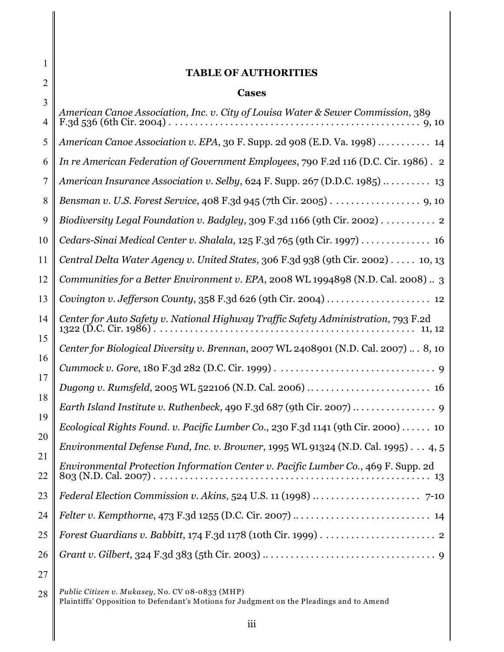|          | <b>TABLE OF AUTHORITIES</b>                                                                    |  |  |
|----------|------------------------------------------------------------------------------------------------|--|--|
| 2        | <b>Cases</b>                                                                                   |  |  |
| 3<br>4   | American Canoe Association, Inc. v. City of Louisa Water & Sewer Commission, 389               |  |  |
| 5        | American Canoe Association v. EPA, 30 F. Supp. 2d 908 (E.D. Va. 1998) $\dots \dots \dots$ 14   |  |  |
| 6        | In re American Federation of Government Employees, 790 F.2d 116 (D.C. Cir. 1986). 2            |  |  |
| 7        | American Insurance Association v. Selby, 624 F. Supp. 267 (D.D.C. 1985) $\dots \dots \dots$ 13 |  |  |
| 8        | Bensman v. U.S. Forest Service, 408 F.3d 945 (7th Cir. 2005) 9, 10                             |  |  |
| 9        | Biodiversity Legal Foundation v. Badgley, 309 F.3d 1166 (9th Cir. 2002) 2                      |  |  |
| 10       | Cedars-Sinai Medical Center v. Shalala, $125$ F.3d $765$ (9th Cir. 1997) 16                    |  |  |
| 11       | Central Delta Water Agency v. United States, 306 F.3d 938 (9th Cir. 2002) $\dots$ 10, 13       |  |  |
| 12       | Communities for a Better Environment v. EPA, 2008 WL 1994898 (N.D. Cal. 2008) 3                |  |  |
| 13       | Covington v. Jefferson County, 358 F.3d 626 (9th Cir. 2004)  12                                |  |  |
| 14       | Center for Auto Safety v. National Highway Traffic Safety Administration, 793 F.2d             |  |  |
| 15       | Center for Biological Diversity v. Brennan, 2007 WL 2408901 (N.D. Cal. 2007)  8, 10            |  |  |
| 16       | Dugong v. Rumsfeld, 2005 WL 522106 (N.D. Cal. 2006)  16                                        |  |  |
| 17       |                                                                                                |  |  |
| 18       |                                                                                                |  |  |
| 19       | Ecological Rights Found. v. Pacific Lumber Co., 230 F.3d 1141 (9th Cir. 2000)  10              |  |  |
| 20       | Environmental Defense Fund, Inc. v. Browner, 1995 WL 91324 (N.D. Cal. 1995) 4, 5               |  |  |
| 21<br>22 | Environmental Protection Information Center v. Pacific Lumber Co., 469 F. Supp. 2d             |  |  |
| 23       |                                                                                                |  |  |
| 24       |                                                                                                |  |  |
| 25       |                                                                                                |  |  |
| 26       |                                                                                                |  |  |
| 27       |                                                                                                |  |  |

28 *Public Citizen v. Mukasey*, No. CV 08-0833 (MHP) Plaintiffs' Opposition to Defendant's Motions for Judgment on the Pleadings and to Amend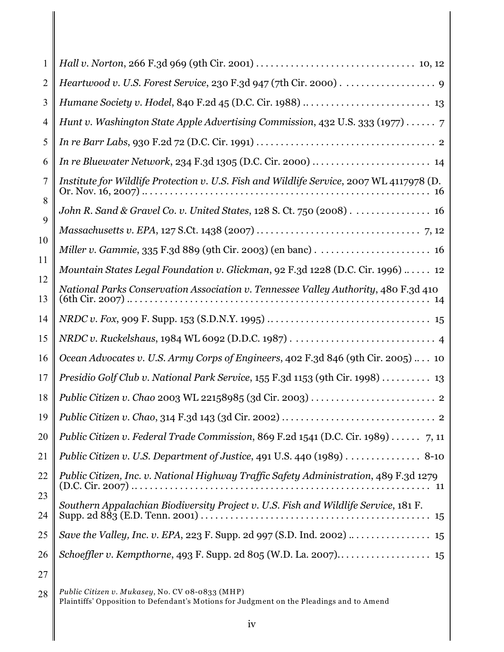| 1        |                                                                                                 |
|----------|-------------------------------------------------------------------------------------------------|
| 2        |                                                                                                 |
| 3        |                                                                                                 |
| 4        | Hunt v. Washington State Apple Advertising Commission, 432 U.S. 333 (1977) 7                    |
| 5        |                                                                                                 |
| 6        |                                                                                                 |
| 7        | Institute for Wildlife Protection v. U.S. Fish and Wildlife Service, 2007 WL 4117978 (D.<br>16  |
| 8        | John R. Sand & Gravel Co. v. United States, 128 S. Ct. 750 (2008) 16                            |
| 9        |                                                                                                 |
| 10       |                                                                                                 |
| 11       | Mountain States Legal Foundation v. Glickman, 92 F.3d 1228 (D.C. Cir. 1996)  12                 |
| 12<br>13 | National Parks Conservation Association v. Tennessee Valley Authority, 480 F.3d 410             |
| 14       |                                                                                                 |
| 15       |                                                                                                 |
| 16       | Ocean Advocates v. U.S. Army Corps of Engineers, 402 F.3d 846 (9th Cir. 2005)  10               |
| 17       | Presidio Golf Club v. National Park Service, 155 F.3d 1153 (9th Cir. 1998)  13                  |
| 18       |                                                                                                 |
| 19       |                                                                                                 |
| 20       | Public Citizen v. Federal Trade Commission, 869 F.2d 1541 (D.C. Cir. 1989) 7, 11                |
| 21       | Public Citizen v. U.S. Department of Justice, 491 U.S. 440 (1989) $\dots\dots\dots\dots$ . 8-10 |
| 22       | Public Citizen, Inc. v. National Highway Traffic Safety Administration, 489 F.3d 1279           |
| 23<br>24 | Southern Appalachian Biodiversity Project v. U.S. Fish and Wildlife Service, 181 F.             |
| 25       | Save the Valley, Inc. v. EPA, 223 F. Supp. 2d 997 (S.D. Ind. 2002)  15                          |
| 26       |                                                                                                 |
| 27       |                                                                                                 |

28 *Public Citizen v. Mukasey*, No. CV 08-0833 (MHP) Plaintiffs' Opposition to Defendant's Motions for Judgment on the Pleadings and to Amend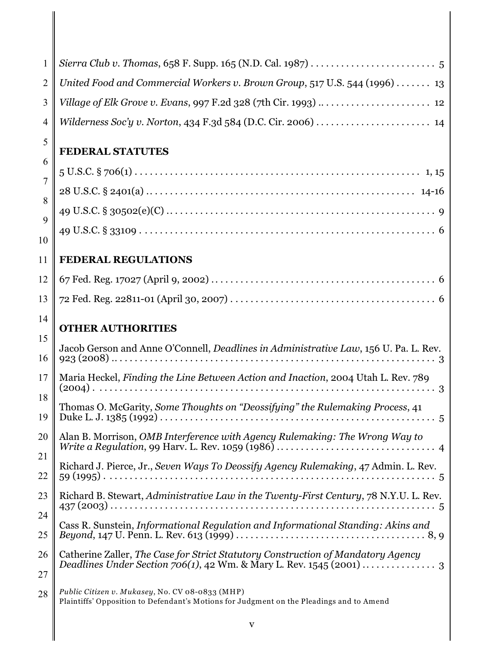| $\mathbf{1}$   |                                                                                                                                             |  |  |
|----------------|---------------------------------------------------------------------------------------------------------------------------------------------|--|--|
| $\overline{2}$ | United Food and Commercial Workers v. Brown Group, 517 U.S. 544 (1996)  13                                                                  |  |  |
| 3              |                                                                                                                                             |  |  |
| 4              | Wilderness Soc'y v. Norton, 434 F.3d 584 (D.C. Cir. 2006)  14                                                                               |  |  |
| 5              | <b>FEDERAL STATUTES</b>                                                                                                                     |  |  |
| 6              |                                                                                                                                             |  |  |
| 7              |                                                                                                                                             |  |  |
| 8              |                                                                                                                                             |  |  |
| 9              |                                                                                                                                             |  |  |
| 10             |                                                                                                                                             |  |  |
| 11             | <b>FEDERAL REGULATIONS</b>                                                                                                                  |  |  |
| 12             |                                                                                                                                             |  |  |
| 13             |                                                                                                                                             |  |  |
| 14             | <b>OTHER AUTHORITIES</b>                                                                                                                    |  |  |
| 15             |                                                                                                                                             |  |  |
| 16             | Jacob Gerson and Anne O'Connell, Deadlines in Administrative Law, 156 U. Pa. L. Rev.                                                        |  |  |
| 17             | Maria Heckel, Finding the Line Between Action and Inaction, 2004 Utah L. Rev. 789                                                           |  |  |
| 18<br>19       | Thomas O. McGarity, Some Thoughts on "Deossifying" the Rulemaking Process, 41<br>Duke L. J. 1385 (1992)<br>$5^{\circ}$                      |  |  |
| 20             | Alan B. Morrison, OMB Interference with Agency Rulemaking: The Wrong Way to                                                                 |  |  |
| 21             |                                                                                                                                             |  |  |
| 22             | Richard J. Pierce, Jr., Seven Ways To Deossify Agency Rulemaking, 47 Admin. L. Rev.                                                         |  |  |
| 23             | Richard B. Stewart, Administrative Law in the Twenty-First Century, 78 N.Y.U. L. Rev.                                                       |  |  |
| 24             | Cass R. Sunstein, Informational Regulation and Informational Standing: Akins and                                                            |  |  |
| 25             |                                                                                                                                             |  |  |
| 26             | Catherine Zaller, The Case for Strict Statutory Construction of Mandatory Agency                                                            |  |  |
| 27             |                                                                                                                                             |  |  |
| 28             | Public Citizen v. Mukasey, No. CV 08-0833 (MHP)<br>Plaintiffs' Opposition to Defendant's Motions for Judgment on the Pleadings and to Amend |  |  |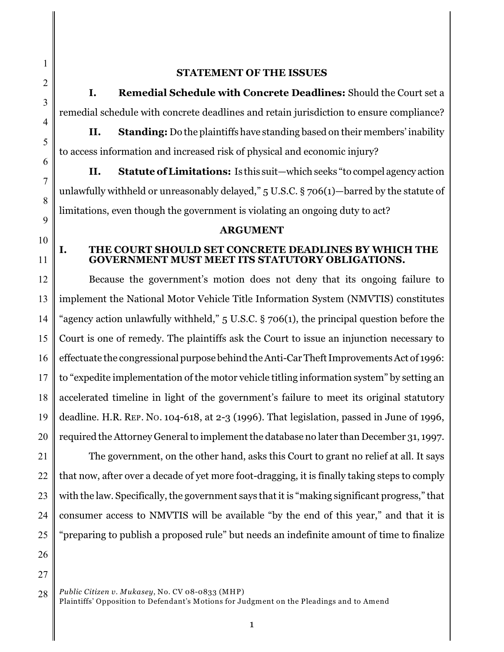1 2

3

4

5

6

7

8

9

10

11

## **STATEMENT OF THE ISSUES**

**I. Remedial Schedule with Concrete Deadlines:** Should the Court set a remedial schedule with concrete deadlines and retain jurisdiction to ensure compliance?

**II. Standing:** Do the plaintiffs have standing based on their members' inability to access information and increased risk of physical and economic injury?

**II. Statute of Limitations:** Is this suit—which seeks "to compel agency action unlawfully withheld or unreasonably delayed,"  $5 \text{ U.S.C.}$   $8 \text{ 706(1)}$ —barred by the statute of limitations, even though the government is violating an ongoing duty to act?

### **ARGUMENT**

## **I. THE COURT SHOULD SET CONCRETE DEADLINES BY WHICH THE GOVERNMENT MUST MEET ITS STATUTORY OBLIGATIONS.**

12 13 14 15 16 17 18 19 20 Because the government's motion does not deny that its ongoing failure to implement the National Motor Vehicle Title Information System (NMVTIS) constitutes "agency action unlawfully withheld," 5 U.S.C. § 706(1), the principal question before the Court is one of remedy. The plaintiffs ask the Court to issue an injunction necessary to effectuate the congressional purpose behind the Anti-Car Theft Improvements Act of 1996: to "expedite implementation of the motor vehicle titling information system" by setting an accelerated timeline in light of the government's failure to meet its original statutory deadline. H.R. REP. NO. 104-618, at 2-3 (1996). That legislation, passed in June of 1996, required the Attorney General to implement the database no later than December 31, 1997.

21 22 23 24 25 The government, on the other hand, asks this Court to grant no relief at all. It says that now, after over a decade of yet more foot-dragging, it is finally taking steps to comply with the law. Specifically, the government says that it is "making significant progress," that consumer access to NMVTIS will be available "by the end of this year," and that it is "preparing to publish a proposed rule" but needs an indefinite amount of time to finalize

- 26
- 27

<sup>28</sup> *Public Citizen v. Mukasey*, No. CV 08-0833 (MHP) Plaintiffs' Opposition to Defendant's Motions for Judgment on the Pleadings and to Amend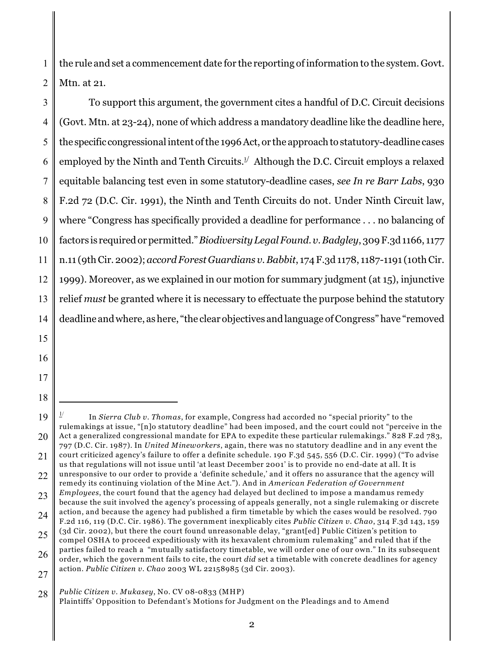1 2 the rule and set a commencement date for the reporting of information to the system. Govt. Mtn. at 21.

3 4 5 6 7 8 9 10 11 12 13 14 To support this argument, the government cites a handful of D.C. Circuit decisions (Govt. Mtn. at 23-24), none of which address a mandatory deadline like the deadline here, the specific congressional intent of the 1996 Act, or the approach to statutory-deadline cases employed by the Ninth and Tenth Circuits.<sup> $1/$ </sup> Although the D.C. Circuit employs a relaxed equitable balancing test even in some statutory-deadline cases, *see In re Barr Labs*, 930 F.2d 72 (D.C. Cir. 1991), the Ninth and Tenth Circuits do not. Under Ninth Circuit law, where "Congress has specifically provided a deadline for performance . . . no balancing of factors is required or permitted." *Biodiversity Legal Found. v. Badgley*, 309 F.3d 1166, 1177 n.11 (9th Cir. 2002); *accord Forest Guardians v. Babbit*, 174 F.3d 1178, 1187-1191 (10th Cir. 1999). Moreover, as we explained in our motion for summary judgment (at 15), injunctive relief *must* be granted where it is necessary to effectuate the purpose behind the statutory deadline andwhere, as here, "the clear objectives and language of Congress" have "removed

15

16

17

<sup>19</sup> 20  $\frac{1}{2}$  In *Sierra Club v. Thomas*, for example, Congress had accorded no "special priority" to the rulemakings at issue, "[n]o statutory deadline" had been imposed, and the court could not "perceive in the Act a generalized congressional mandate for EPA to expedite these particular rulemakings." 828 F.2d 783, 797 (D.C. Cir. 1987). In *United Mineworkers*, again, there was no statutory deadline and in any event the

<sup>21</sup> 22 court criticized agency's failure to offer a definite schedule. 190 F.3d 545, 556 (D.C. Cir. 1999) ("To advise us that regulations will not issue until 'at least December 2001' is to provide no end-date at all. It is unresponsive to our order to provide a 'definite schedule,' and it offers no assurance that the agency will remedy its continuing violation of the Mine Act."). And in *American Federation of Government*

<sup>23</sup> *Employees*, the court found that the agency had delayed but declined to impose a mandamus remedy because the suit involved the agency's processing of appeals generally, not a single rulemaking or discrete action, and because the agency had published a firm timetable by which the cases would be resolved. 790

<sup>24</sup> 25 F.2d 116, 119 (D.C. Cir. 1986). The government inexplicably cites *Public Citizen v. Chao*, 314 F.3d 143, 159 (3d Cir. 2002), but there the court found unreasonable delay, "grant[ed] Public Citizen's petition to

<sup>26</sup> compel OSHA to proceed expeditiously with its hexavalent chromium rulemaking" and ruled that if the parties failed to reach a "mutually satisfactory timetable, we will order one of our own." In its subsequent

<sup>27</sup> order, which the government fails to cite, the court *did* set a timetable with concrete deadlines for agency action. *Public Citizen v. Chao* 2003 WL 22158985 (3d Cir. 2003).

<sup>28</sup> *Public Citizen v. Mukasey*, No. CV 08-0833 (MHP)

Plaintiffs' Opposition to Defendant's Motions for Judgment on the Pleadings and to Amend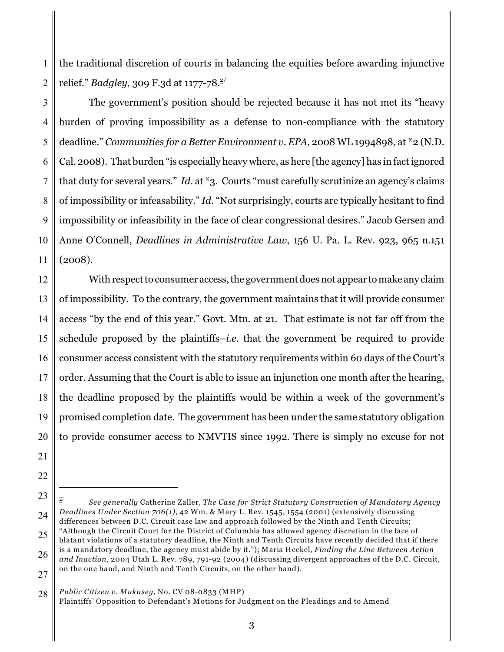1 2 the traditional discretion of courts in balancing the equities before awarding injunctive relief." *Badgley*, 309 F.3d at 1177-78. 2/

3 4 5 6 7 8 9 10 11 The government's position should be rejected because it has not met its "heavy burden of proving impossibility as a defense to non-compliance with the statutory deadline." *Communities for a Better Environment v. EPA*, 2008 WL 1994898, at \*2 (N.D. Cal. 2008). That burden "is especially heavy where, as here [the agency] has in fact ignored that duty for several years." *Id.* at \*3. Courts "must carefully scrutinize an agency's claims of impossibility or infeasability." *Id*. "Not surprisingly, courts are typically hesitant to find impossibility or infeasibility in the face of clear congressional desires." Jacob Gersen and Anne O'Connell, *Deadlines in Administrative Law*, 156 U. Pa. L. Rev. 923, 965 n.151 (2008).

12 13 14 15 16 17 18 19 20 With respect to consumer access, the government does not appear to make any claim of impossibility. To the contrary, the government maintains that it will provide consumer access "by the end of this year." Govt. Mtn. at 21. That estimate is not far off from the schedule proposed by the plaintiffs–*i.e.* that the government be required to provide consumer access consistent with the statutory requirements within 60 days of the Court's order. Assuming that the Court is able to issue an injunction one month after the hearing, the deadline proposed by the plaintiffs would be within a week of the government's promised completion date. The government has been under the same statutory obligation to provide consumer access to NMVTIS since 1992. There is simply no excuse for not

- 21
- 22
- 23

28 *Public Citizen v. Mukasey*, No. CV 08-0833 (MHP)

<sup>24</sup> *See generally* Catherine Zaller, *The Case for Strict Statutory Construction of Mandatory Agency* 2/ *Deadlines Under Section 706(1)*, 42 Wm. & Mary L. Rev. 1545, 1554 (2001) (extensively discussing differences between D.C. Circuit case law and approach followed by the Ninth and Tenth Circuits; "Although the Circuit Court for the District of Columbia has allowed agency discretion in the face of

<sup>25</sup> 26 27 blatant violations of a statutory deadline, the Ninth and Tenth Circuits have recently decided that if there is a mandatory deadline, the agency must abide by it."); Maria Heckel, *Finding the Line Between Action and Inaction*, 2004 Utah L. Rev. 789, 791-92 (2004) (discussing divergent approaches of the D.C. Circuit, on the one hand, and Ninth and Tenth Circuits, on the other hand).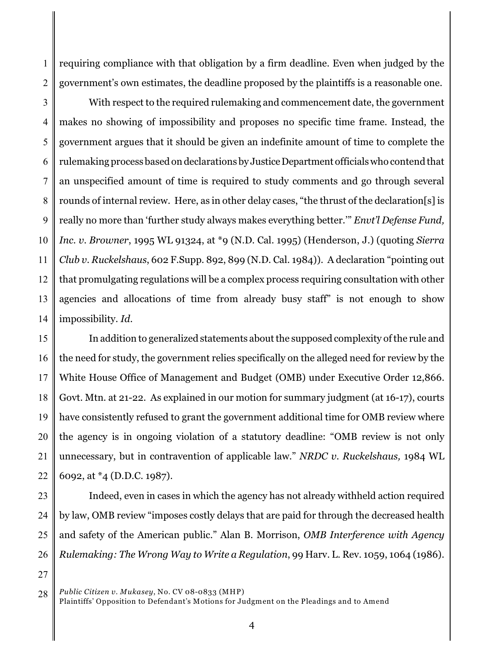1 2 requiring compliance with that obligation by a firm deadline. Even when judged by the government's own estimates, the deadline proposed by the plaintiffs is a reasonable one.

3 4 5 6 7 8 9 10 11 12 13 14 With respect to the required rulemaking and commencement date, the government makes no showing of impossibility and proposes no specific time frame. Instead, the government argues that it should be given an indefinite amount of time to complete the rulemaking process based on declarations by Justice Department officials who contend that an unspecified amount of time is required to study comments and go through several rounds of internal review. Here, as in other delay cases, "the thrust of the declaration[s] is really no more than 'further study always makes everything better.'" *Envt'l Defense Fund, Inc. v. Browner*, 1995 WL 91324, at \*9 (N.D. Cal. 1995) (Henderson, J.) (quoting *Sierra Club v. Ruckelshaus*, 602 F.Supp. 892, 899 (N.D. Cal. 1984)). A declaration "pointing out that promulgating regulations will be a complex process requiring consultation with other agencies and allocations of time from already busy staff" is not enough to show impossibility. *Id.*

15 16 17 18 19 20 21 22 In addition to generalized statements about the supposed complexity of the rule and the need for study, the government relies specifically on the alleged need for review by the White House Office of Management and Budget (OMB) under Executive Order 12,866. Govt. Mtn. at 21-22. As explained in our motion for summary judgment (at 16-17), courts have consistently refused to grant the government additional time for OMB review where the agency is in ongoing violation of a statutory deadline: "OMB review is not only unnecessary, but in contravention of applicable law." *NRDC v. Ruckelshaus,* 1984 WL 6092, at \*4 (D.D.C. 1987).

23 24 25 26 Indeed, even in cases in which the agency has not already withheld action required by law, OMB review "imposes costly delays that are paid for through the decreased health and safety of the American public." Alan B. Morrison, *OMB Interference with Agency Rulemaking: The Wrong Way to Write a Regulation*, 99 Harv. L. Rev. 1059, 1064 (1986).

27

<sup>28</sup> *Public Citizen v. Mukasey*, No. CV 08-0833 (MHP)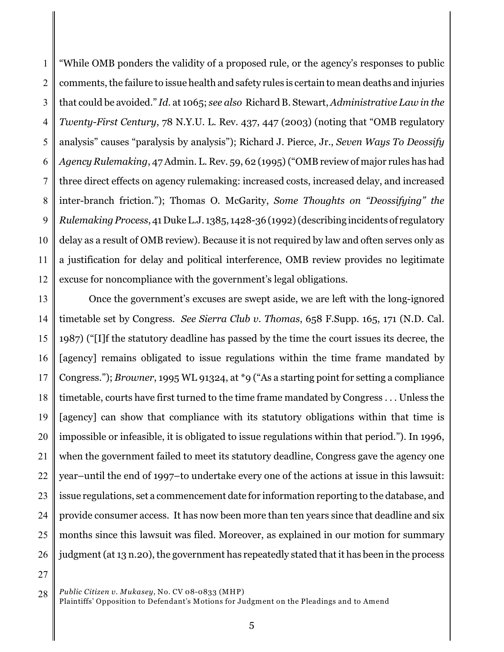1 2 3 4 5 6 7 8 9 10 11 12 "While OMB ponders the validity of a proposed rule, or the agency's responses to public comments, the failure to issue health and safety rules is certain to mean deaths and injuries that could be avoided." *Id.* at 1065; *see also* Richard B. Stewart, *Administrative Law in the Twenty-First Century*, 78 N.Y.U. L. Rev. 437, 447 (2003) (noting that "OMB regulatory analysis" causes "paralysis by analysis"); Richard J. Pierce, Jr., *Seven Ways To Deossify Agency Rulemaking*, 47 Admin. L. Rev. 59, 62 (1995) ("OMB review of major rules has had three direct effects on agency rulemaking: increased costs, increased delay, and increased inter-branch friction."); Thomas O. McGarity, *Some Thoughts on "Deossifying" the Rulemaking Process*, 41 Duke L.J. 1385, 1428-36 (1992) (describing incidents of regulatory delay as a result of OMB review). Because it is not required by law and often serves only as a justification for delay and political interference, OMB review provides no legitimate excuse for noncompliance with the government's legal obligations.

13 14 15 16 17 18 19 20 21 22 23 24 25 26 Once the government's excuses are swept aside, we are left with the long-ignored timetable set by Congress. *See Sierra Club v. Thomas*, 658 F.Supp. 165, 171 (N.D. Cal. 1987) ("[I]f the statutory deadline has passed by the time the court issues its decree, the [agency] remains obligated to issue regulations within the time frame mandated by Congress."); *Browner*, 1995 WL 91324, at \*9 ("As a starting point for setting a compliance timetable, courts have first turned to the time frame mandated by Congress . . . Unless the [agency] can show that compliance with its statutory obligations within that time is impossible or infeasible, it is obligated to issue regulations within that period."). In 1996, when the government failed to meet its statutory deadline, Congress gave the agency one year–until the end of 1997–to undertake every one of the actions at issue in this lawsuit: issue regulations, set a commencement date for information reporting to the database, and provide consumer access. It has now been more than ten years since that deadline and six months since this lawsuit was filed. Moreover, as explained in our motion for summary judgment (at 13 n.20), the government has repeatedly stated that it has been in the process

27

<sup>28</sup> *Public Citizen v. Mukasey*, No. CV 08-0833 (MHP)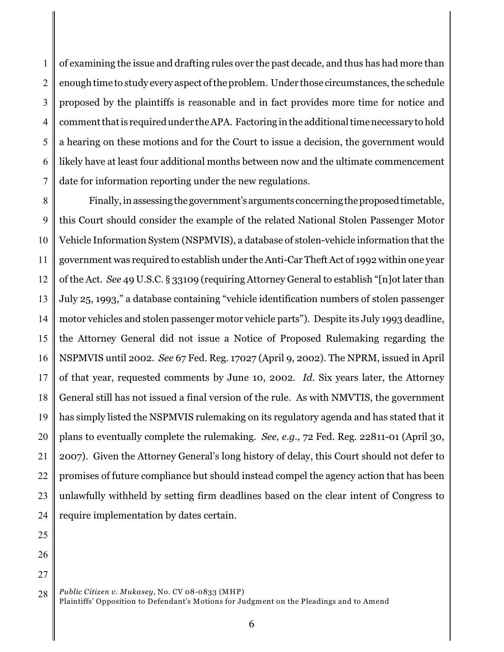1 2 3 4 5 6 7 of examining the issue and drafting rules over the past decade, and thus has had more than enough time to study every aspect of the problem. Under those circumstances, the schedule proposed by the plaintiffs is reasonable and in fact provides more time for notice and comment that is required under the APA. Factoring inthe additional time necessary to hold a hearing on these motions and for the Court to issue a decision, the government would likely have at least four additional months between now and the ultimate commencement date for information reporting under the new regulations.

8 9 10 11 12 13 14 15 16 17 18 19 20 21 22 23 24 Finally, in assessing the government's arguments concerning the proposed timetable, this Court should consider the example of the related National Stolen Passenger Motor Vehicle Information System (NSPMVIS), a database of stolen-vehicle information that the government was required to establish under the Anti-Car Theft Act of 1992 within one year of the Act. *See* 49 U.S.C. § 33109 (requiring Attorney General to establish "[n]ot later than July 25, 1993," a database containing "vehicle identification numbers of stolen passenger motor vehicles and stolen passenger motor vehicle parts"). Despite its July 1993 deadline, the Attorney General did not issue a Notice of Proposed Rulemaking regarding the NSPMVIS until 2002. *See* 67 Fed. Reg. 17027 (April 9, 2002). The NPRM, issued in April of that year, requested comments by June 10, 2002. *Id.* Six years later, the Attorney General still has not issued a final version of the rule. As with NMVTIS, the government has simply listed the NSPMVIS rulemaking on its regulatory agenda and has stated that it plans to eventually complete the rulemaking. *See, e.g.,* 72 Fed. Reg. 22811-01 (April 30, 2007). Given the Attorney General's long history of delay, this Court should not defer to promises of future compliance but should instead compel the agency action that has been unlawfully withheld by setting firm deadlines based on the clear intent of Congress to require implementation by dates certain.

- 25
- 26
- 27

<sup>28</sup> *Public Citizen v. Mukasey*, No. CV 08-0833 (MHP) Plaintiffs' Opposition to Defendant's Motions for Judgment on the Pleadings and to Amend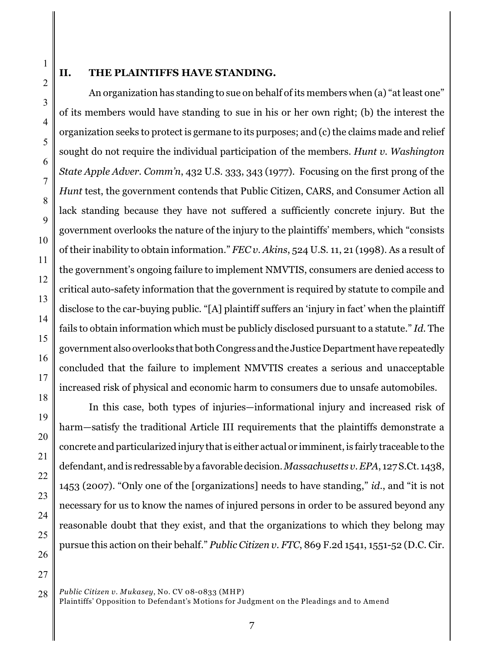9

10

11

12

13

14

15

16

17

18

19

20

21

22

23

24

25

26

27

#### **II. THE PLAINTIFFS HAVE STANDING.**

An organization has standing to sue on behalf of its members when (a) "at least one" of its members would have standing to sue in his or her own right; (b) the interest the organization seeks to protect is germane to its purposes; and (c) the claims made and relief sought do not require the individual participation of the members. *Hunt v. Washington State Apple Adver. Comm'n*, 432 U.S. 333, 343 (1977). Focusing on the first prong of the *Hunt* test, the government contends that Public Citizen, CARS, and Consumer Action all lack standing because they have not suffered a sufficiently concrete injury. But the government overlooks the nature of the injury to the plaintiffs' members, which "consists of their inability to obtain information." *FEC v. Akins*, 524 U.S. 11, 21 (1998). As a result of the government's ongoing failure to implement NMVTIS, consumers are denied access to critical auto-safety information that the government is required by statute to compile and disclose to the car-buying public. "[A] plaintiff suffers an 'injury in fact' when the plaintiff fails to obtain information which must be publicly disclosed pursuant to a statute." *Id.* The government also overlooks that both Congress andthe Justice Department have repeatedly concluded that the failure to implement NMVTIS creates a serious and unacceptable increased risk of physical and economic harm to consumers due to unsafe automobiles.

In this case, both types of injuries—informational injury and increased risk of harm—satisfy the traditional Article III requirements that the plaintiffs demonstrate a concrete and particularized injury that is either actual or imminent, is fairly traceable to the defendant, and is redressable by a favorable decision. *Massachusetts v. EPA*, 127 S.Ct. 1438, 1453 (2007). "Only one of the [organizations] needs to have standing," *id*., and "it is not necessary for us to know the names of injured persons in order to be assured beyond any reasonable doubt that they exist, and that the organizations to which they belong may pursue this action on their behalf." *Public Citizen v. FTC*, 869 F.2d 1541, 1551-52 (D.C. Cir.

28 *Public Citizen v. Mukasey*, No. CV 08-0833 (MHP) Plaintiffs' Opposition to Defendant's Motions for Judgment on the Pleadings and to Amend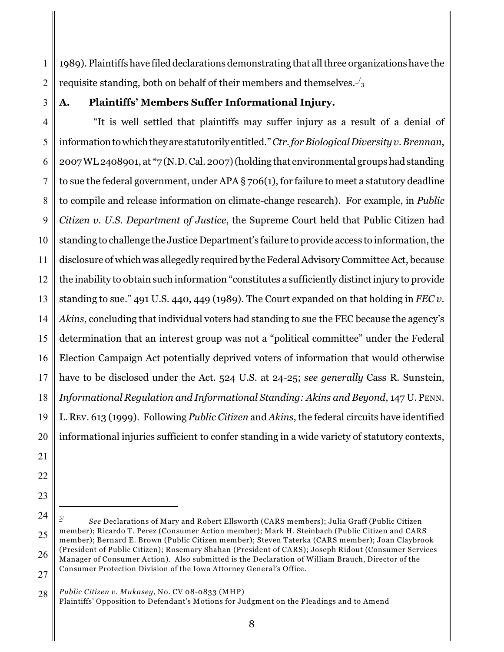1 2 1989). Plaintiffs have filed declarations demonstrating that all three organizations have the requisite standing, both on behalf of their members and themselves. <sup>3</sup> /

3

# **A. Plaintiffs' Members Suffer Informational Injury.**

4 5 6 7 8 9 10 11 12 13 14 15 16 17 18 19 20 "It is well settled that plaintiffs may suffer injury as a result of a denial of information to which they are statutorily entitled." *Ctr. for Biological Diversity v. Brennan*, 2007 WL 2408901, at \*7 (N.D. Cal. 2007) (holding that environmental groups had standing to sue the federal government, under APA  $\S$  706(1), for failure to meet a statutory deadline to compile and release information on climate-change research). For example, in *Public Citizen v. U.S. Department of Justice*, the Supreme Court held that Public Citizen had standing to challenge the Justice Department's failure to provide access to information, the disclosure of which was allegedly required by the Federal Advisory Committee Act, because the inability to obtain such information "constitutes a sufficiently distinct injury to provide standing to sue." 491 U.S. 440, 449 (1989). The Court expanded on that holding in *FEC v. Akins*, concluding that individual voters had standing to sue the FEC because the agency's determination that an interest group was not a "political committee" under the Federal Election Campaign Act potentially deprived voters of information that would otherwise have to be disclosed under the Act. 524 U.S. at 24-25; *see generally* Cass R. Sunstein, *Informational Regulation and Informational Standing: Akins and Beyond*, 147 U.PENN. L.REV. 613 (1999). Following *Public Citizen* and *Akins*, the federal circuits have identified informational injuries sufficient to confer standing in a wide variety of statutory contexts,

- 21
- 22
- 23

28 *Public Citizen v. Mukasey*, No. CV 08-0833 (MHP)

<sup>24</sup> 25 26 27 *See* Declarations of Mary and Robert Ellsworth (CARS members); Julia Graff (Public Citizen 3/ member); Ricardo T. Perez (Consumer Action member); Mark H. Steinbach (Public Citizen and CARS member); Bernard E. Brown (Public Citizen member); Steven Taterka (CARS member); Joan Claybrook (President of Public Citizen); Rosemary Shahan (President of CARS); Joseph Ridout (Consumer Services Manager of Consumer Action). Also submitted is the Declaration of William Brauch, Director of the Consumer Protection Division of the Iowa Attorney General's Office.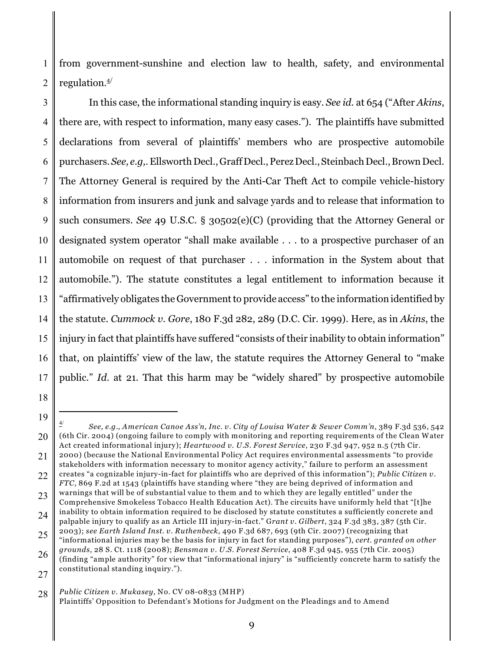1 2 from government-sunshine and election law to health, safety, and environmental regulation.4/

3 4 5 6 7 8 9 10 11 12 13 14 15 16 17 In this case, the informational standing inquiry is easy. *See id.* at 654 ("After *Akins*, there are, with respect to information, many easy cases."). The plaintiffs have submitted declarations from several of plaintiffs' members who are prospective automobile purchasers. *See, e.g,*. Ellsworth Decl., Graff Decl., Perez Decl., Steinbach Decl., Brown Decl. The Attorney General is required by the Anti-Car Theft Act to compile vehicle-history information from insurers and junk and salvage yards and to release that information to such consumers. *See* 49 U.S.C. § 30502(e)(C) (providing that the Attorney General or designated system operator "shall make available . . . to a prospective purchaser of an automobile on request of that purchaser . . . information in the System about that automobile."). The statute constitutes a legal entitlement to information because it "affirmatively obligates the Government to provide access" to the information identified by the statute. *Cummock v. Gore*, 180 F.3d 282, 289 (D.C. Cir. 1999). Here, as in *Akins*, the injury in fact that plaintiffs have suffered "consists of their inability to obtain information" that, on plaintiffs' view of the law, the statute requires the Attorney General to "make public." *Id.* at 21. That this harm may be "widely shared" by prospective automobile

- 18
- 19

<sup>20</sup> *See, e.g., American Canoe Ass'n, Inc. v. City of Louisa Water & Sewer Comm'n*, 389 F.3d 536, 542 4/ (6th Cir. 2004) (ongoing failure to comply with monitoring and reporting requirements of the Clean Water Act created informational injury); *Heartwood v. U.S. Forest Service*, 230 F.3d 947, 952 n.5 (7th Cir. 2000) (because the National Environmental Policy Act requires environmental assessments "to provide

<sup>21</sup> 22 stakeholders with information necessary to monitor agency activity," failure to perform an assessment creates "a cognizable injury-in-fact for plaintiffs who are deprived of this information"); *Public Citizen v.*

<sup>23</sup> *FTC*, 869 F.2d at 1543 (plaintiffs have standing where "they are being deprived of information and warnings that will be of substantial value to them and to which they are legally entitled" under the Comprehensive Smokeless Tobacco Health Education Act). The circuits have uniformly held that "[t]he

<sup>24</sup> inability to obtain information required to be disclosed by statute constitutes a sufficiently concrete and palpable injury to qualify as an Article III injury-in-fact." G*rant v. Gilbert*, 324 F.3d 383, 387 (5th Cir. 2003); *see Earth Island Inst. v. Ruthenbeck,* 490 F.3d 687, 693 (9th Cir. 2007) (recognizing that

<sup>25</sup> "informational injuries may be the basis for injury in fact for standing purposes"), *cert. granted on other grounds,* 28 S. Ct. 1118 (2008); *Bensman v. U.S. Forest Service*, 408 F.3d 945, 955 (7th Cir. 2005)

<sup>26</sup> 27 (finding "ample authority" for view that "informational injury" is "sufficiently concrete harm to satisfy the constitutional standing inquiry.").

<sup>28</sup> *Public Citizen v. Mukasey*, No. CV 08-0833 (MHP)

Plaintiffs' Opposition to Defendant's Motions for Judgment on the Pleadings and to Amend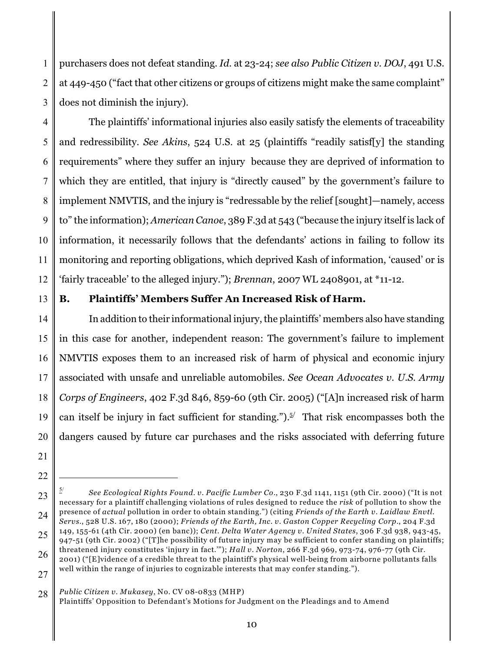1 2 3 purchasers does not defeat standing. *Id.* at 23-24; *see also Public Citizen v. DOJ*, 491 U.S. at 449-450 ("fact that other citizens or groups of citizens might make the same complaint" does not diminish the injury).

4 5 6 7 8 9 10 11 12 The plaintiffs' informational injuries also easily satisfy the elements of traceability and redressibility. *See Akins*, 524 U.S. at 25 (plaintiffs "readily satisf[y] the standing requirements" where they suffer an injury because they are deprived of information to which they are entitled, that injury is "directly caused" by the government's failure to implement NMVTIS, and the injury is "redressable by the relief [sought]—namely, access to" the information); *American Canoe*, 389 F.3d at 543 ("because the injury itself is lack of information, it necessarily follows that the defendants' actions in failing to follow its monitoring and reporting obligations, which deprived Kash of information, 'caused' or is 'fairly traceable' to the alleged injury."); *Brennan*, 2007 WL 2408901, at \*11-12.

13

## **B. Plaintiffs' Members Suffer An Increased Risk of Harm.**

14 15 16 17 18 19 20 In addition to their informational injury, the plaintiffs' members also have standing in this case for another, independent reason: The government's failure to implement NMVTIS exposes them to an increased risk of harm of physical and economic injury associated with unsafe and unreliable automobiles. *See Ocean Advocates v. U.S. Army Corps of Engineers*, 402 F.3d 846, 859-60 (9th Cir. 2005) ("[A]n increased risk of harm can itself be injury in fact sufficient for standing.").<sup> $5/$ </sup> That risk encompasses both the dangers caused by future car purchases and the risks associated with deferring future

28 *Public Citizen v. Mukasey*, No. CV 08-0833 (MHP)

<sup>21</sup> 22

<sup>23</sup> 24 *See Ecological Rights Found. v. Pacific Lumber Co*., 230 F.3d 1141, 1151 (9th Cir. 2000) ("It is not 5/ necessary for a plaintiff challenging violations of rules designed to reduce the *risk* of pollution to show the presence of *actual* pollution in order to obtain standing.") (citing *Friends of the Earth v. Laidlaw Envtl. Servs*., 528 U.S. 167, 180 (2000); *Friends of the Earth, Inc. v. Gaston Copper Recycling Corp*., 204 F.3d 149, 155-61 (4th Cir. 2000) (en banc)); *Cent. Delta Water Agency v. United States*, 306 F.3d 938, 943-45,

<sup>25</sup> 947-51 (9th Cir. 2002) ("[T]he possibility of future injury may be sufficient to confer standing on plaintiffs;

<sup>26</sup> 27 threatened injury constitutes 'injury in fact.'"); *Hall v. Norton*, 266 F.3d 969, 973-74, 976-77 (9th Cir. 2001) ("[E]vidence of a credible threat to the plaintiff's physical well-being from airborne pollutants falls well within the range of injuries to cognizable interests that may confer standing.").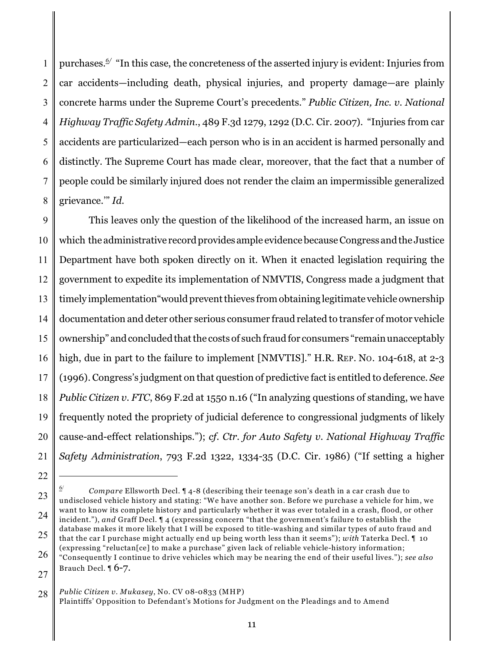1 2 3 4 5 6 7 8 purchases.*6/* "In this case, the concreteness of the asserted injury is evident: Injuries from car accidents—including death, physical injuries, and property damage—are plainly concrete harms under the Supreme Court's precedents." *Public Citizen, Inc. v. National Highway Traffic Safety Admin*., 489 F.3d 1279, 1292 (D.C. Cir. 2007). "Injuries from car accidents are particularized—each person who is in an accident is harmed personally and distinctly. The Supreme Court has made clear, moreover, that the fact that a number of people could be similarly injured does not render the claim an impermissible generalized grievance.'" *Id.* 

9 10 11 12 13 14 15 16 17 18 19 20 21 This leaves only the question of the likelihood of the increased harm, an issue on which the administrative record provides ample evidence because Congress and the Justice Department have both spoken directly on it. When it enacted legislation requiring the government to expedite its implementation of NMVTIS, Congress made a judgment that timely implementation"would prevent thieves from obtaining legitimate vehicle ownership documentation and deter other serious consumer fraud related to transfer of motor vehicle ownership" and concluded that the costs of such fraud for consumers "remain unacceptably high, due in part to the failure to implement [NMVTIS]." H.R. REP. No. 104-618, at 2-3 (1996). Congress's judgment on that question of predictive fact is entitled to deference. *See Public Citizen v. FTC*, 869 F.2d at 1550 n.16 ("In analyzing questions of standing, we have frequently noted the propriety of judicial deference to congressional judgments of likely cause-and-effect relationships."); *cf. Ctr. for Auto Safety v. National Highway Traffic Safety Administration*, 793 F.2d 1322, 1334-35 (D.C. Cir. 1986) ("If setting a higher

<sup>22</sup>

<sup>23</sup> 24 25 *Compare* Ellsworth Decl. ¶ 4-8 (describing their teenage son's death in a car crash due to 6/ undisclosed vehicle history and stating: "We have another son. Before we purchase a vehicle for him, we want to know its complete history and particularly whether it was ever totaled in a crash, flood, or other incident."), *and* Graff Decl. ¶ 4 (expressing concern "that the government's failure to establish the database makes it more likely that I will be exposed to title-washing and similar types of auto fraud and that the car I purchase might actually end up being worth less than it seems"); *with* Taterka Decl. ¶ 10

<sup>26</sup> (expressing "reluctan[ce] to make a purchase" given lack of reliable vehicle-history information; "Consequently I continue to drive vehicles which may be nearing the end of their useful lives."); *see also* Brauch Decl.  $\sqrt{6}$ -7.

<sup>27</sup>

<sup>28</sup> *Public Citizen v. Mukasey*, No. CV 08-0833 (MHP) Plaintiffs' Opposition to Defendant's Motions for Judgment on the Pleadings and to Amend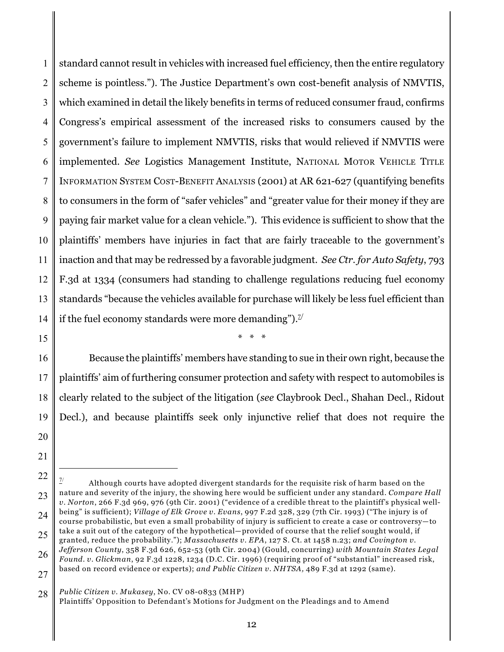1 2 3 4 5 6 7 8 9 10 11 12 13 14 standard cannot result in vehicles with increased fuel efficiency, then the entire regulatory scheme is pointless."). The Justice Department's own cost-benefit analysis of NMVTIS, which examined in detail the likely benefits in terms of reduced consumer fraud, confirms Congress's empirical assessment of the increased risks to consumers caused by the government's failure to implement NMVTIS, risks that would relieved if NMVTIS were implemented. *See* Logistics Management Institute, NATIONAL MOTOR VEHICLE TITLE INFORMATION SYSTEM COST-BENEFIT ANALYSIS (2001) at AR 621-627 (quantifying benefits to consumers in the form of "safer vehicles" and "greater value for their money if they are paying fair market value for a clean vehicle."). This evidence is sufficient to show that the plaintiffs' members have injuries in fact that are fairly traceable to the government's inaction and that may be redressed by a favorable judgment. *See Ctr. for Auto Safety*, 793 F.3d at 1334 (consumers had standing to challenge regulations reducing fuel economy standards "because the vehicles available for purchase will likely be less fuel efficient than if the fuel economy standards were more demanding").<sup> $\mathbb{Z}^{\prime}$ </sup>

15

\* \* \*

16 17 18 19 20 Because the plaintiffs' members have standing to sue in their own right, because the plaintiffs' aim of furthering consumer protection and safety with respect to automobiles is clearly related to the subject of the litigation (*see* Claybrook Decl., Shahan Decl., Ridout Decl.), and because plaintiffs seek only injunctive relief that does not require the

<sup>22</sup> 23 24 Although courts have adopted divergent standards for the requisite risk of harm based on the nature and severity of the injury, the showing here would be sufficient under any standard. *Compare Hall v. Norton*, 266 F.3d 969, 976 (9th Cir. 2001) ("evidence of a credible threat to the plaintiff's physical wellbeing" is sufficient); *Village of Elk Grove v. Evans*, 997 F.2d 328, 329 (7th Cir. 1993) ("The injury is of course probabilistic, but even a small probability of injury is sufficient to create a case or controversy—to take a suit out of the category of the hypothetical—provided of course that the relief sought would, if

<sup>25</sup> 26 27 granted, reduce the probability."); *Massachusetts v. EPA*, 127 S. Ct. at 1458 n.23; *and Covington v. Jefferson County*, 358 F.3d 626, 652-53 (9th Cir. 2004) (Gould, concurring) *with Mountain States Legal Found. v. Glickman*, 92 F.3d 1228, 1234 (D.C. Cir. 1996) (requiring proof of "substantial" increased risk, based on record evidence or experts); *and Public Citizen v. NHTSA,* 489 F.3d at 1292 (same).

<sup>28</sup> *Public Citizen v. Mukasey*, No. CV 08-0833 (MHP)

Plaintiffs' Opposition to Defendant's Motions for Judgment on the Pleadings and to Amend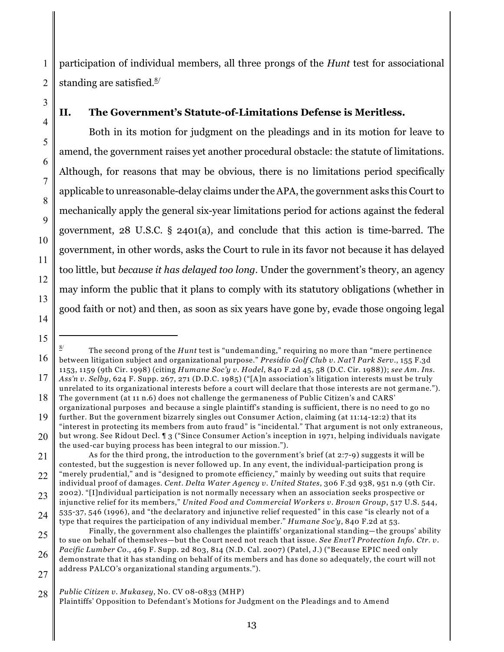1 2 participation of individual members, all three prongs of the *Hunt* test for associational standing are satisfied. $8/$ 

# **II. The Government's Statute-of-Limitations Defense is Meritless.**

Both in its motion for judgment on the pleadings and in its motion for leave to amend, the government raises yet another procedural obstacle: the statute of limitations. Although, for reasons that may be obvious, there is no limitations period specifically applicable to unreasonable-delay claims under the APA, the government asks this Court to mechanically apply the general six-year limitations period for actions against the federal government, 28 U.S.C. § 2401(a), and conclude that this action is time-barred. The government, in other words, asks the Court to rule in its favor not because it has delayed too little, but *because it has delayed too long*. Under the government's theory, an agency may inform the public that it plans to comply with its statutory obligations (whether in good faith or not) and then, as soon as six years have gone by, evade those ongoing legal

3

4

5

6

7

8

9

10

11

12

13

14

<sup>16</sup> The second prong of the *Hunt* test is "undemanding," requiring no more than "mere pertinence 8/ between litigation subject and organizational purpose." *Presidio Golf Club v. Nat'l Park Serv.*, 155 F.3d 1153, 1159 (9th Cir. 1998) (citing *Humane Soc'y v. Hodel*, 840 F.2d 45, 58 (D.C. Cir. 1988)); *see Am. Ins.*

<sup>17</sup> 18 *Ass'n v. Selby*, 624 F. Supp. 267, 271 (D.D.C. 1985) ("[A]n association's litigation interests must be truly unrelated to its organizational interests before a court will declare that those interests are not germane."). The government (at 11 n.6) does not challenge the germaneness of Public Citizen's and CARS'

<sup>19</sup> organizational purposes and because a single plaintiff's standing is sufficient, there is no need to go no further. But the government bizarrely singles out Consumer Action, claiming (at 11:14-12:2) that its "interest in protecting its members from auto fraud" is "incidental." That argument is not only extraneous,

<sup>20</sup> but wrong. See Ridout Decl. ¶ 3 ("Since Consumer Action's inception in 1971, helping individuals navigate the used-car buying process has been integral to our mission.").

<sup>21</sup> 22 As for the third prong, the introduction to the government's brief (at 2:7-9) suggests it will be contested, but the suggestion is never followed up. In any event, the individual-participation prong is "merely prudential," and is "designed to promote efficiency," mainly by weeding out suits that require

<sup>23</sup> individual proof of damages. *Cent. Delta Water Agency v. United States,* 306 F.3d 938, 951 n.9 (9th Cir. 2002). "[I]ndividual participation is not normally necessary when an association seeks prospective or injunctive relief for its members," *United Food and Commercial Workers v. Brown Group*, 517 U.S. 544,

<sup>24</sup> 535-37, 546 (1996), and "the declaratory and injunctive relief requested" in this case "is clearly not of a type that requires the participation of any individual member." *Humane Soc'y*, 840 F.2d at 53.

<sup>25</sup> 26 27 Finally, the government also challenges the plaintiffs' organizational standing—the groups' ability to sue on behalf of themselves—but the Court need not reach that issue. *See Envt'l Protection Info. Ctr. v. Pacific Lumber Co*., 469 F. Supp. 2d 803, 814 (N.D. Cal. 2007) (Patel, J.) ("Because EPIC need only demonstrate that it has standing on behalf of its members and has done so adequately, the court will not address PALCO's organizational standing arguments.").

<sup>28</sup> *Public Citizen v. Mukasey*, No. CV 08-0833 (MHP)

Plaintiffs' Opposition to Defendant's Motions for Judgment on the Pleadings and to Amend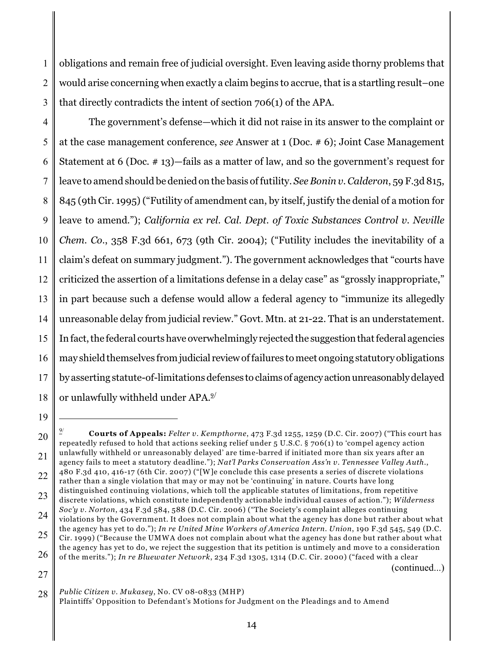1 2 3 obligations and remain free of judicial oversight. Even leaving aside thorny problems that would arise concerning when exactly a claim begins to accrue, that is a startling result–one that directly contradicts the intent of section 706(1) of the APA.

4 5 6 7 8 9 10 11 12 13 14 15 16 17 18 The government's defense—which it did not raise in its answer to the complaint or at the case management conference, *see* Answer at 1 (Doc. # 6); Joint Case Management Statement at 6 (Doc. # 13)—fails as a matter of law, and so the government's request for leave to amend should be denied on the basis of futility. *See Bonin v. Calderon*, 59 F.3d 815, 845 (9th Cir. 1995) ("Futility of amendment can, by itself, justify the denial of a motion for leave to amend."); *California ex rel. Cal. Dept. of Toxic Substances Control v. Neville Chem. Co*., 358 F.3d 661, 673 (9th Cir. 2004); ("Futility includes the inevitability of a claim's defeat on summary judgment."). The government acknowledges that "courts have criticized the assertion of a limitations defense in a delay case" as "grossly inappropriate," in part because such a defense would allow a federal agency to "immunize its allegedly unreasonable delay from judicial review." Govt. Mtn. at 21-22. That is an understatement. In fact, the federal courts have overwhelmingly rejected the suggestion that federal agencies may shield themselves from judicial review of failures to meet ongoing statutory obligations by asserting statute-of-limitations defenses to claims of agency action unreasonably delayed or unlawfully withheld under APA.9/

19

27

(continued...)

<sup>20</sup> 21 22 23 **Courts of Appeals:** *Felter v. Kempthorne*, 473 F.3d 1255, 1259 (D.C. Cir. 2007) ("This court has 9/ repeatedly refused to hold that actions seeking relief under 5 U.S.C. § 706(1) to 'compel agency action unlawfully withheld or unreasonably delayed' are time-barred if initiated more than six years after an agency fails to meet a statutory deadline."); *Nat'l Parks Conservation Ass'n v. Tennessee Valley Auth*., 480 F.3d 410, 416-17 (6th Cir. 2007) ("[W]e conclude this case presents a series of discrete violations rather than a single violation that may or may not be 'continuing' in nature. Courts have long distinguished continuing violations, which toll the applicable statutes of limitations, from repetitive discrete violations, which constitute independently actionable individual causes of action."); *Wilderness*

<sup>24</sup> *Soc'y v. Norton*, 434 F.3d 584, 588 (D.C. Cir. 2006) ("The Society's complaint alleges continuing violations by the Government. It does not complain about what the agency has done but rather about what the agency has yet to do."); *In re United Mine Workers of America Intern. Union*, 190 F.3d 545, 549 (D.C.

<sup>25</sup> 26 Cir. 1999) ("Because the UMWA does not complain about what the agency has done but rather about what the agency has yet to do, we reject the suggestion that its petition is untimely and move to a consideration of the merits."); *In re Bluewater Network*, 234 F.3d 1305, 1314 (D.C. Cir. 2000) ("faced with a clear

<sup>28</sup> *Public Citizen v. Mukasey*, No. CV 08-0833 (MHP) Plaintiffs' Opposition to Defendant's Motions for Judgment on the Pleadings and to Amend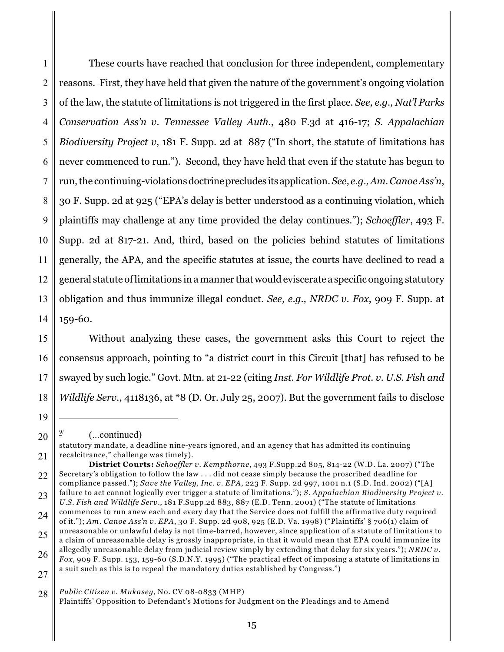1 2 3 4 5 6 7 8 9 10 11 12 13 14 These courts have reached that conclusion for three independent, complementary reasons. First, they have held that given the nature of the government's ongoing violation of the law, the statute of limitations is not triggered in the first place. *See, e.g., Nat'l Parks Conservation Ass'n v. Tennessee Valley Auth*., 480 F.3d at 416-17; *S. Appalachian Biodiversity Project v*, 181 F. Supp. 2d at 887 ("In short, the statute of limitations has never commenced to run."). Second, they have held that even if the statute has begun to run, the continuing-violations doctrine precludes its application. *See, e.g., Am. Canoe Ass'n*, 30 F. Supp. 2d at 925 ("EPA's delay is better understood as a continuing violation, which plaintiffs may challenge at any time provided the delay continues."); *Schoeffler*, 493 F. Supp. 2d at 817-21. And, third, based on the policies behind statutes of limitations generally, the APA, and the specific statutes at issue, the courts have declined to read a general statute of limitations in a manner that would eviscerate a specific ongoing statutory obligation and thus immunize illegal conduct. *See, e.g., NRDC v. Fox*, 909 F. Supp. at 159-60.

15 16 17 18 Without analyzing these cases, the government asks this Court to reject the consensus approach, pointing to "a district court in this Circuit [that] has refused to be swayed by such logic." Govt. Mtn. at 21-22 (citing *Inst. For Wildlife Prot. v. U.S. Fish and Wildlife Serv.*, 4118136, at \*8 (D. Or. July 25, 2007). But the government fails to disclose

19

<sup>20</sup>  $(...continued)$ 

<sup>21</sup> statutory mandate, a deadline nine-years ignored, and an agency that has admitted its continuing recalcitrance," challenge was timely).

<sup>22</sup> **District Courts:** *Schoeffler v. Kempthorne*, 493 F.Supp.2d 805, 814-22 (W.D. La. 2007) ("The Secretary's obligation to follow the law . . . did not cease simply because the proscribed deadline for compliance passed."); *Save the Valley, Inc. v. EPA*, 223 F. Supp. 2d 997, 1001 n.1 (S.D. Ind. 2002) ("[A]

<sup>23</sup> failure to act cannot logically ever trigger a statute of limitations."); *S. Appalachian Biodiversity Project v. U.S. Fish and Wildlife Serv.*, 181 F.Supp.2d 883, 887 (E.D. Tenn. 2001) ("The statute of limitations

<sup>24</sup> commences to run anew each and every day that the Service does not fulfill the affirmative duty required of it."); *Am. Canoe Ass'n v. EPA*, 30 F. Supp. 2d 908, 925 (E.D. Va. 1998) ("Plaintiffs' § 706(1) claim of unreasonable or unlawful delay is not time-barred, however, since application of a statute of limitations to

<sup>25</sup> a claim of unreasonable delay is grossly inappropriate, in that it would mean that EPA could immunize its allegedly unreasonable delay from judicial review simply by extending that delay for six years."); *NRDC v.*

<sup>26</sup> 27 *Fox*, 909 F. Supp. 153, 159-60 (S.D.N.Y. 1995) ("The practical effect of imposing a statute of limitations in a suit such as this is to repeal the mandatory duties established by Congress.")

<sup>28</sup> *Public Citizen v. Mukasey*, No. CV 08-0833 (MHP)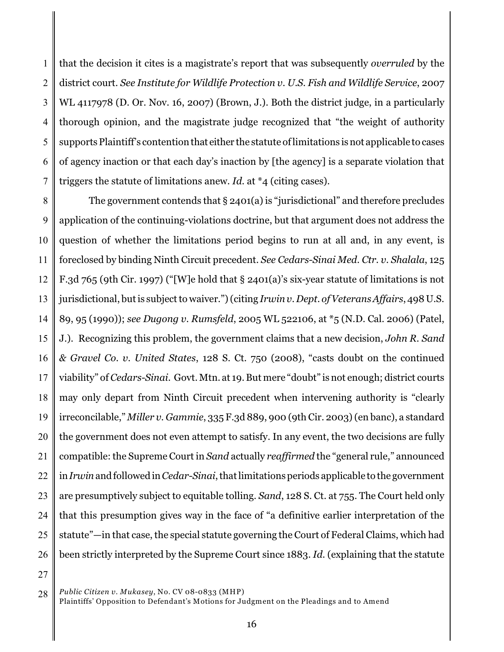1 2 3 4 5 6 7 that the decision it cites is a magistrate's report that was subsequently *overruled* by the district court. *See Institute for Wildlife Protection v. U.S. Fish and Wildlife Service*, 2007 WL 4117978 (D. Or. Nov. 16, 2007) (Brown, J.). Both the district judge, in a particularly thorough opinion, and the magistrate judge recognized that "the weight of authority supports Plaintiff's contention that either the statute of limitations is not applicable to cases of agency inaction or that each day's inaction by [the agency] is a separate violation that triggers the statute of limitations anew. *Id.* at \*4 (citing cases).

8 9 10 11 12 13 14 15 16 17 18 19 20 21 22 23 24 25 26 The government contends that § 2401(a) is "jurisdictional" and therefore precludes application of the continuing-violations doctrine, but that argument does not address the question of whether the limitations period begins to run at all and, in any event, is foreclosed by binding Ninth Circuit precedent. *See Cedars-Sinai Med. Ctr. v. Shalala*, 125 F.3d 765 (9th Cir. 1997) ("[W]e hold that § 2401(a)'s six-year statute of limitations is not jurisdictional, but is subject to waiver.") (citing *Irwin v. Dept. of Veterans Affairs*, 498 U.S. 89, 95 (1990)); *see Dugong v. Rumsfeld*, 2005 WL 522106, at \*5 (N.D. Cal. 2006) (Patel, J.). Recognizing this problem, the government claims that a new decision, *John R. Sand & Gravel Co. v. United States*, 128 S. Ct. 750 (2008), "casts doubt on the continued viability" of *Cedars-Sinai*. Govt.Mtn. at 19.But mere "doubt" is not enough; district courts may only depart from Ninth Circuit precedent when intervening authority is "clearly irreconcilable," *Miller v. Gammie*, 335 F.3d 889, 900 (9th Cir. 2003) (en banc), a standard the government does not even attempt to satisfy. In any event, the two decisions are fully compatible: the Supreme Court in *Sand* actually *reaffirmed* the "general rule," announced in *Irwin* and followed in *Cedar-Sinai*, that limitations periods applicable to the government are presumptively subject to equitable tolling. *Sand*, 128 S. Ct. at 755. The Court held only that this presumption gives way in the face of "a definitive earlier interpretation of the statute"—in that case, the special statute governing the Court of Federal Claims, which had been strictly interpreted by the Supreme Court since 1883. *Id.* (explaining that the statute

<sup>28</sup> *Public Citizen v. Mukasey*, No. CV 08-0833 (MHP)

Plaintiffs' Opposition to Defendant's Motions for Judgment on the Pleadings and to Amend